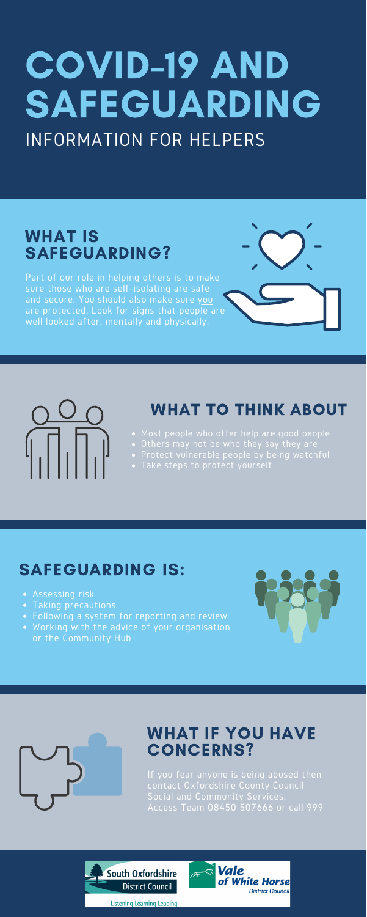Part of our role in helping others is to make sure those who are self-isolating are safe and secure. You should also make sure you are protected. Look for signs that people are well looked after, mentally and physically.



### WHAT IS SAFEGUARDING?

- Most people who offer help are good people
- Others may not be who they say they are
- Protect vulnerable people by being watchful
- Take steps to protect yourself

# WHAT TO THINK ABOUT

# COVID-19 AND **SAFEGUARDING** INFORMATION FOR HELPERS

- Assessing risk
- Taking precautions
- Following a system for reporting and review
- Working with the advice of your organisation or the Community Hub



# SAFEGUARDING IS:

If you fear anyone is being abused then contact Oxfordshire County Council Social and Community Services, Access Team 08450 507666 or call 999





#### WHAT IF YOU HAVE CONCERNS?